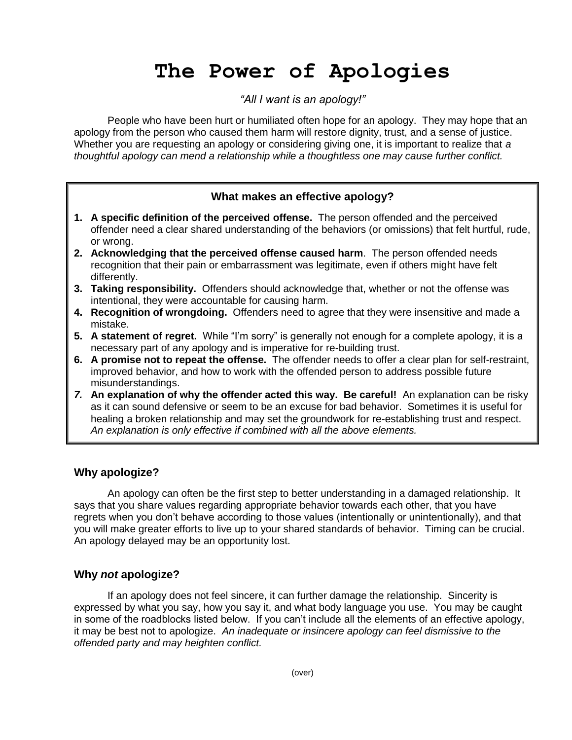# **The Power of Apologies**

# *"All I want is an apology!"*

People who have been hurt or humiliated often hope for an apology. They may hope that an apology from the person who caused them harm will restore dignity, trust, and a sense of justice. Whether you are requesting an apology or considering giving one, it is important to realize that *a thoughtful apology can mend a relationship while a thoughtless one may cause further conflict.*

# **What makes an effective apology?**

- **1. A specific definition of the perceived offense.** The person offended and the perceived offender need a clear shared understanding of the behaviors (or omissions) that felt hurtful, rude, or wrong.
- **2. Acknowledging that the perceived offense caused harm**. The person offended needs recognition that their pain or embarrassment was legitimate, even if others might have felt differently.
- **3. Taking responsibility.** Offenders should acknowledge that, whether or not the offense was intentional, they were accountable for causing harm.
- **4. Recognition of wrongdoing.** Offenders need to agree that they were insensitive and made a mistake.
- **5. A statement of regret.** While "I'm sorry" is generally not enough for a complete apology, it is a necessary part of any apology and is imperative for re-building trust.
- **6. A promise not to repeat the offense.** The offender needs to offer a clear plan for self-restraint, improved behavior, and how to work with the offended person to address possible future misunderstandings.
- *7.* **An explanation of why the offender acted this way. Be careful!** An explanation can be risky as it can sound defensive or seem to be an excuse for bad behavior. Sometimes it is useful for healing a broken relationship and may set the groundwork for re-establishing trust and respect. *An explanation is only effective if combined with all the above elements.*

## **Why apologize?**

An apology can often be the first step to better understanding in a damaged relationship. It says that you share values regarding appropriate behavior towards each other, that you have regrets when you don't behave according to those values (intentionally or unintentionally), and that you will make greater efforts to live up to your shared standards of behavior. Timing can be crucial. An apology delayed may be an opportunity lost.

# **Why** *not* **apologize?**

If an apology does not feel sincere, it can further damage the relationship. Sincerity is expressed by what you say, how you say it, and what body language you use. You may be caught in some of the roadblocks listed below. If you can't include all the elements of an effective apology, it may be best not to apologize. *An inadequate or insincere apology can feel dismissive to the offended party and may heighten conflict.*